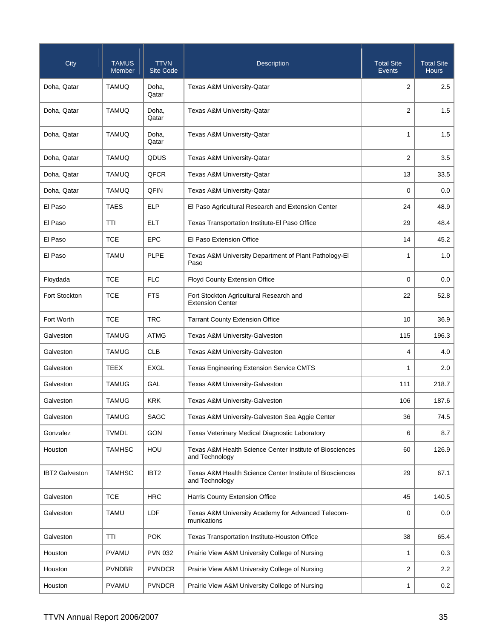| City                  | <b>TAMUS</b><br>Member | <b>TTVN</b><br><b>Site Code</b> | <b>Description</b>                                                         | <b>Total Site</b><br>Events | <b>Total Site</b><br><b>Hours</b> |
|-----------------------|------------------------|---------------------------------|----------------------------------------------------------------------------|-----------------------------|-----------------------------------|
| Doha, Qatar           | <b>TAMUQ</b>           | Doha,<br>Qatar                  | Texas A&M University-Qatar                                                 | 2                           | 2.5                               |
| Doha, Qatar           | <b>TAMUQ</b>           | Doha,<br>Qatar                  | <b>Texas A&amp;M University-Qatar</b>                                      | 2                           | 1.5                               |
| Doha, Qatar           | <b>TAMUQ</b>           | Doha,<br>Qatar                  | <b>Texas A&amp;M University-Qatar</b>                                      | $\mathbf{1}$                | 1.5                               |
| Doha, Qatar           | <b>TAMUQ</b>           | QDUS                            | Texas A&M University-Qatar                                                 | 2                           | 3.5                               |
| Doha, Qatar           | <b>TAMUQ</b>           | QFCR                            | Texas A&M University-Qatar                                                 | 13                          | 33.5                              |
| Doha, Qatar           | <b>TAMUQ</b>           | QFIN                            | <b>Texas A&amp;M University-Qatar</b>                                      | 0                           | 0.0                               |
| El Paso               | <b>TAES</b>            | <b>ELP</b>                      | El Paso Agricultural Research and Extension Center                         | 24                          | 48.9                              |
| El Paso               | <b>TTI</b>             | ELT                             | Texas Transportation Institute-El Paso Office                              | 29                          | 48.4                              |
| El Paso               | <b>TCE</b>             | <b>EPC</b>                      | El Paso Extension Office                                                   | 14                          | 45.2                              |
| El Paso               | <b>TAMU</b>            | <b>PLPE</b>                     | Texas A&M University Department of Plant Pathology-El<br>Paso              | 1                           | 1.0                               |
| Floydada              | <b>TCE</b>             | <b>FLC</b>                      | <b>Floyd County Extension Office</b>                                       | $\mathbf 0$                 | 0.0                               |
| Fort Stockton         | <b>TCE</b>             | <b>FTS</b>                      | Fort Stockton Agricultural Research and<br><b>Extension Center</b>         | 22                          | 52.8                              |
| Fort Worth            | <b>TCE</b>             | <b>TRC</b>                      | <b>Tarrant County Extension Office</b>                                     | 10                          | 36.9                              |
| Galveston             | <b>TAMUG</b>           | <b>ATMG</b>                     | Texas A&M University-Galveston                                             | 115                         | 196.3                             |
| Galveston             | <b>TAMUG</b>           | <b>CLB</b>                      | Texas A&M University-Galveston                                             | $\overline{4}$              | 4.0                               |
| Galveston             | TEEX                   | EXGL                            | Texas Engineering Extension Service CMTS                                   | $\mathbf{1}$                | 2.0                               |
| Galveston             | <b>TAMUG</b>           | GAL                             | Texas A&M University-Galveston                                             | 111                         | 218.7                             |
| Galveston             | <b>TAMUG</b>           | <b>KRK</b>                      | Texas A&M University-Galveston                                             | 106                         | 187.6                             |
| Galveston             | <b>TAMUG</b>           | SAGC                            | Texas A&M University-Galveston Sea Aggie Center                            | 36                          | 74.5                              |
| Gonzalez              | <b>TVMDL</b>           | GON                             | Texas Veterinary Medical Diagnostic Laboratory                             | 6                           | 8.7                               |
| Houston               | <b>TAMHSC</b>          | HOU                             | Texas A&M Health Science Center Institute of Biosciences<br>and Technology | 60                          | 126.9                             |
| <b>IBT2 Galveston</b> | <b>TAMHSC</b>          | IBT <sub>2</sub>                | Texas A&M Health Science Center Institute of Biosciences<br>and Technology | 29                          | 67.1                              |
| Galveston             | <b>TCE</b>             | <b>HRC</b>                      | Harris County Extension Office                                             | 45                          | 140.5                             |
| Galveston             | <b>TAMU</b>            | LDF                             | Texas A&M University Academy for Advanced Telecom-<br>munications          | 0                           | 0.0                               |
| Galveston             | <b>TTI</b>             | <b>POK</b>                      | Texas Transportation Institute-Houston Office                              | 38                          | 65.4                              |
| Houston               | <b>PVAMU</b>           | <b>PVN 032</b>                  | Prairie View A&M University College of Nursing                             | $\mathbf{1}$                | 0.3                               |
| Houston               | <b>PVNDBR</b>          | <b>PVNDCR</b>                   | Prairie View A&M University College of Nursing                             | 2                           | 2.2                               |
| Houston               | <b>PVAMU</b>           | <b>PVNDCR</b>                   | Prairie View A&M University College of Nursing                             | $\mathbf{1}$                | 0.2                               |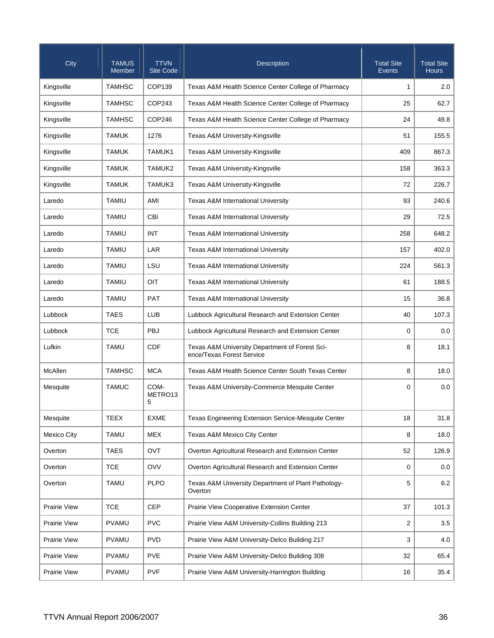| City                | <b>TAMUS</b><br>Member | <b>TTVN</b><br><b>Site Code</b> | Description                                                                 | <b>Total Site</b><br><b>Events</b> | <b>Total Site</b><br><b>Hours</b> |
|---------------------|------------------------|---------------------------------|-----------------------------------------------------------------------------|------------------------------------|-----------------------------------|
| Kingsville          | <b>TAMHSC</b>          | COP139                          | Texas A&M Health Science Center College of Pharmacy                         | 1                                  | 2.0                               |
| Kingsville          | <b>TAMHSC</b>          | COP243                          | Texas A&M Health Science Center College of Pharmacy                         | 25                                 | 62.7                              |
| Kingsville          | <b>TAMHSC</b>          | COP246                          | Texas A&M Health Science Center College of Pharmacy                         | 24                                 | 49.8                              |
| Kingsville          | <b>TAMUK</b>           | 1276                            | Texas A&M University-Kingsville                                             | 51                                 | 155.5                             |
| Kingsville          | <b>TAMUK</b>           | TAMUK1                          | Texas A&M University-Kingsville                                             | 409                                | 867.3                             |
| Kingsville          | <b>TAMUK</b>           | TAMUK2                          | Texas A&M University-Kingsville                                             | 158                                | 363.3                             |
| Kingsville          | <b>TAMUK</b>           | TAMUK3                          | Texas A&M University-Kingsville                                             | 72                                 | 226.7                             |
| Laredo              | <b>TAMIU</b>           | AMI                             | <b>Texas A&amp;M International University</b>                               | 93                                 | 240.6                             |
| Laredo              | <b>TAMIU</b>           | CBI                             | <b>Texas A&amp;M International University</b>                               | 29                                 | 72.5                              |
| Laredo              | <b>TAMIU</b>           | <b>INT</b>                      | <b>Texas A&amp;M International University</b>                               | 258                                | 648.2                             |
| Laredo              | <b>TAMIU</b>           | LAR                             | <b>Texas A&amp;M International University</b>                               | 157                                | 402.0                             |
| Laredo              | <b>TAMIU</b>           | LSU                             | <b>Texas A&amp;M International University</b>                               | 224                                | 561.3                             |
| Laredo              | <b>TAMIU</b>           | OIT                             | <b>Texas A&amp;M International University</b>                               | 61                                 | 188.5                             |
| Laredo              | <b>TAMIU</b>           | <b>PAT</b>                      | <b>Texas A&amp;M International University</b>                               | 15                                 | 36.8                              |
| Lubbock             | <b>TAES</b>            | <b>LUB</b>                      | Lubbock Agricultural Research and Extension Center                          | 40                                 | 107.3                             |
| Lubbock             | <b>TCE</b>             | PBJ                             | Lubbock Agricultural Research and Extension Center                          | 0                                  | 0.0                               |
| Lufkin              | <b>TAMU</b>            | <b>CDF</b>                      | Texas A&M University Department of Forest Sci-<br>ence/Texas Forest Service | 8                                  | 18.1                              |
| McAllen             | <b>TAMHSC</b>          | <b>MCA</b>                      | Texas A&M Health Science Center South Texas Center                          | 8                                  | 18.0                              |
| Mesquite            | <b>TAMUC</b>           | COM-<br>METRO13<br>5            | Texas A&M University-Commerce Mesquite Center                               | 0                                  | 0.0                               |
| Mesquite            | TEEX                   | <b>EXME</b>                     | Texas Engineering Extension Service-Mesquite Center                         | 18                                 | 31.8                              |
| <b>Mexico City</b>  | <b>TAMU</b>            | <b>MEX</b>                      | Texas A&M Mexico City Center                                                | 8                                  | 18.0                              |
| Overton             | <b>TAES</b>            | OVT                             | Overton Agricultural Research and Extension Center                          | 52                                 | 126.9                             |
| Overton             | <b>TCE</b>             | <b>OVV</b>                      | Overton Agricultural Research and Extension Center                          | 0                                  | 0.0                               |
| Overton             | <b>TAMU</b>            | <b>PLPO</b>                     | Texas A&M University Department of Plant Pathology-<br>Overton              | 5                                  | 6.2                               |
| <b>Prairie View</b> | <b>TCE</b>             | <b>CEP</b>                      | Prairie View Cooperative Extension Center                                   | 37                                 | 101.3                             |
| Prairie View        | <b>PVAMU</b>           | <b>PVC</b>                      | Prairie View A&M University-Collins Building 213                            | 2                                  | 3.5                               |
| Prairie View        | <b>PVAMU</b>           | <b>PVD</b>                      | Prairie View A&M University-Delco Building 217                              | 3                                  | 4.0                               |
| <b>Prairie View</b> | <b>PVAMU</b>           | <b>PVE</b>                      | Prairie View A&M University-Delco Building 308                              | 32                                 | 65.4                              |
| Prairie View        | <b>PVAMU</b>           | <b>PVF</b>                      | Prairie View A&M University-Harrington Building                             | 16                                 | 35.4                              |